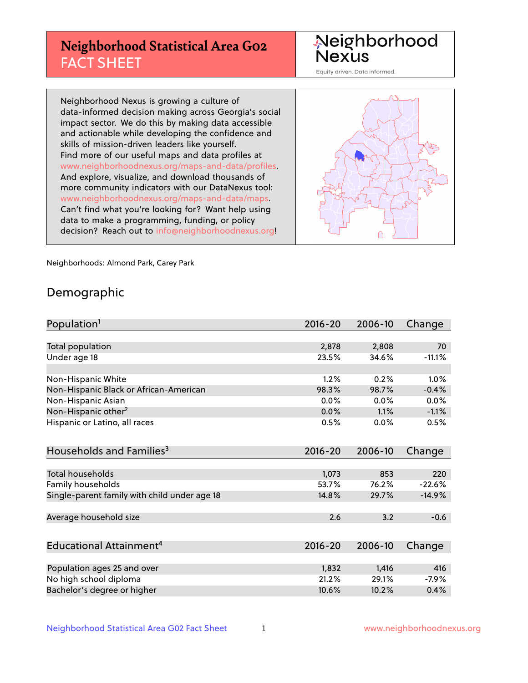# **Neighborhood Statistical Area G02** FACT SHEET

Neighborhood Nexus

Equity driven. Data informed.

Neighborhood Nexus is growing a culture of data-informed decision making across Georgia's social impact sector. We do this by making data accessible and actionable while developing the confidence and skills of mission-driven leaders like yourself. Find more of our useful maps and data profiles at www.neighborhoodnexus.org/maps-and-data/profiles. And explore, visualize, and download thousands of more community indicators with our DataNexus tool: www.neighborhoodnexus.org/maps-and-data/maps. Can't find what you're looking for? Want help using data to make a programming, funding, or policy decision? Reach out to [info@neighborhoodnexus.org!](mailto:info@neighborhoodnexus.org)



Neighborhoods: Almond Park, Carey Park

### Demographic

| Population <sup>1</sup>                      | 2016-20 | 2006-10 | Change   |
|----------------------------------------------|---------|---------|----------|
|                                              |         |         |          |
| Total population                             | 2,878   | 2,808   | 70       |
| Under age 18                                 | 23.5%   | 34.6%   | $-11.1%$ |
|                                              |         |         |          |
| Non-Hispanic White                           | 1.2%    | 0.2%    | 1.0%     |
| Non-Hispanic Black or African-American       | 98.3%   | 98.7%   | $-0.4%$  |
| Non-Hispanic Asian                           | 0.0%    | 0.0%    | 0.0%     |
| Non-Hispanic other <sup>2</sup>              | 0.0%    | 1.1%    | $-1.1%$  |
| Hispanic or Latino, all races                | 0.5%    | 0.0%    | 0.5%     |
|                                              |         |         |          |
| Households and Families <sup>3</sup>         | 2016-20 | 2006-10 | Change   |
|                                              |         |         |          |
| Total households                             | 1,073   | 853     | 220      |
| Family households                            | 53.7%   | 76.2%   | $-22.6%$ |
| Single-parent family with child under age 18 | 14.8%   | 29.7%   | $-14.9%$ |
|                                              |         |         |          |
| Average household size                       | 2.6     | 3.2     | $-0.6$   |
|                                              |         |         |          |
| Educational Attainment <sup>4</sup>          | 2016-20 | 2006-10 | Change   |
|                                              |         |         |          |
| Population ages 25 and over                  | 1,832   | 1,416   | 416      |
| No high school diploma                       | 21.2%   | 29.1%   | $-7.9%$  |
| Bachelor's degree or higher                  | 10.6%   | 10.2%   | 0.4%     |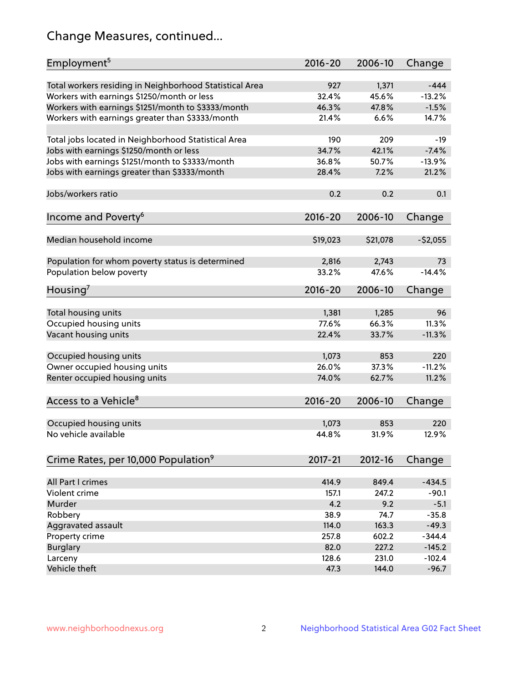# Change Measures, continued...

| Employment <sup>5</sup>                                 | 2016-20     | 2006-10  | Change    |
|---------------------------------------------------------|-------------|----------|-----------|
| Total workers residing in Neighborhood Statistical Area | 927         | 1,371    | $-444$    |
| Workers with earnings \$1250/month or less              | 32.4%       | 45.6%    | $-13.2%$  |
| Workers with earnings \$1251/month to \$3333/month      | 46.3%       | 47.8%    | $-1.5%$   |
| Workers with earnings greater than \$3333/month         | 21.4%       | 6.6%     | 14.7%     |
|                                                         |             |          |           |
| Total jobs located in Neighborhood Statistical Area     | 190         | 209      | $-19$     |
| Jobs with earnings \$1250/month or less                 | 34.7%       | 42.1%    | $-7.4%$   |
| Jobs with earnings \$1251/month to \$3333/month         | 36.8%       | 50.7%    | $-13.9%$  |
| Jobs with earnings greater than \$3333/month            | 28.4%       | 7.2%     | 21.2%     |
|                                                         |             |          |           |
| Jobs/workers ratio                                      | 0.2         | 0.2      | 0.1       |
|                                                         |             |          |           |
| Income and Poverty <sup>6</sup>                         | 2016-20     | 2006-10  | Change    |
|                                                         |             |          |           |
| Median household income                                 | \$19,023    | \$21,078 | $-52,055$ |
|                                                         |             |          |           |
| Population for whom poverty status is determined        | 2,816       | 2,743    | 73        |
| Population below poverty                                | 33.2%       | 47.6%    | $-14.4%$  |
|                                                         |             |          |           |
| Housing <sup>7</sup>                                    | $2016 - 20$ | 2006-10  | Change    |
|                                                         |             |          |           |
| Total housing units                                     | 1,381       | 1,285    | 96        |
| Occupied housing units                                  | 77.6%       | 66.3%    | 11.3%     |
| Vacant housing units                                    | 22.4%       | 33.7%    | $-11.3%$  |
|                                                         |             |          |           |
| Occupied housing units                                  | 1,073       | 853      | 220       |
| Owner occupied housing units                            | 26.0%       | 37.3%    | $-11.2%$  |
| Renter occupied housing units                           | 74.0%       | 62.7%    | 11.2%     |
|                                                         |             |          |           |
| Access to a Vehicle <sup>8</sup>                        | $2016 - 20$ | 2006-10  | Change    |
|                                                         |             |          |           |
| Occupied housing units                                  | 1,073       | 853      | 220       |
| No vehicle available                                    | 44.8%       | 31.9%    | 12.9%     |
|                                                         |             |          |           |
| Crime Rates, per 10,000 Population <sup>9</sup>         | 2017-21     | 2012-16  | Change    |
|                                                         |             |          |           |
| All Part I crimes                                       | 414.9       | 849.4    | $-434.5$  |
| Violent crime                                           | 157.1       | 247.2    | $-90.1$   |
| Murder                                                  | 4.2         | 9.2      | $-5.1$    |
| Robbery                                                 | 38.9        | 74.7     | $-35.8$   |
| Aggravated assault                                      | 114.0       | 163.3    | $-49.3$   |
| Property crime                                          | 257.8       | 602.2    | $-344.4$  |
| <b>Burglary</b>                                         | 82.0        | 227.2    | $-145.2$  |
| Larceny                                                 | 128.6       | 231.0    | $-102.4$  |
| Vehicle theft                                           | 47.3        | 144.0    | $-96.7$   |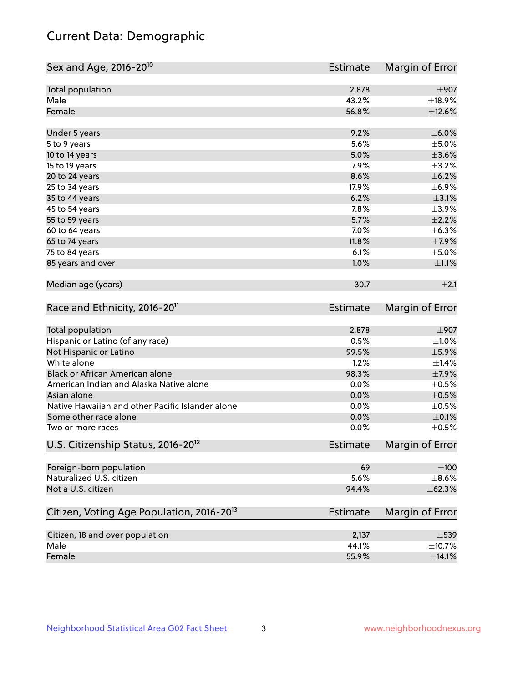# Current Data: Demographic

| Sex and Age, 2016-20 <sup>10</sup>                    | <b>Estimate</b> | Margin of Error |
|-------------------------------------------------------|-----------------|-----------------|
| Total population                                      | 2,878           | $\pm$ 907       |
| Male                                                  | 43.2%           | $\pm$ 18.9%     |
| Female                                                | 56.8%           | ±12.6%          |
| Under 5 years                                         | 9.2%            | $\pm$ 6.0%      |
| 5 to 9 years                                          | 5.6%            | $\pm$ 5.0%      |
| 10 to 14 years                                        | 5.0%            | $\pm 3.6\%$     |
| 15 to 19 years                                        | 7.9%            | $\pm$ 3.2%      |
| 20 to 24 years                                        | 8.6%            | $\pm$ 6.2%      |
| 25 to 34 years                                        | 17.9%           | $\pm$ 6.9%      |
| 35 to 44 years                                        | 6.2%            | $\pm$ 3.1%      |
| 45 to 54 years                                        | 7.8%            | $\pm$ 3.9%      |
| 55 to 59 years                                        | 5.7%            | $\pm 2.2\%$     |
| 60 to 64 years                                        | 7.0%            | $\pm$ 6.3%      |
| 65 to 74 years                                        | 11.8%           | $\pm$ 7.9%      |
| 75 to 84 years                                        | 6.1%            | $\pm$ 5.0%      |
| 85 years and over                                     | 1.0%            | $\pm 1.1\%$     |
| Median age (years)                                    | 30.7            | ±2.1            |
| Race and Ethnicity, 2016-20 <sup>11</sup>             | <b>Estimate</b> | Margin of Error |
| Total population                                      | 2,878           | $\pm$ 907       |
| Hispanic or Latino (of any race)                      | 0.5%            | $\pm 1.0\%$     |
| Not Hispanic or Latino                                | 99.5%           | $\pm$ 5.9%      |
| White alone                                           | 1.2%            | ±1.4%           |
| Black or African American alone                       | 98.3%           | $\pm$ 7.9%      |
| American Indian and Alaska Native alone               | 0.0%            | $\pm$ 0.5%      |
| Asian alone                                           | 0.0%            | $\pm$ 0.5%      |
| Native Hawaiian and other Pacific Islander alone      | 0.0%            | $\pm$ 0.5%      |
| Some other race alone                                 | 0.0%            | $\pm$ 0.1%      |
| Two or more races                                     | 0.0%            | $\pm$ 0.5%      |
| U.S. Citizenship Status, 2016-20 <sup>12</sup>        | <b>Estimate</b> | Margin of Error |
| Foreign-born population                               | 69              | $\pm 100$       |
| Naturalized U.S. citizen                              | 5.6%            | $\pm$ 8.6%      |
| Not a U.S. citizen                                    | 94.4%           | ±62.3%          |
| Citizen, Voting Age Population, 2016-20 <sup>13</sup> | <b>Estimate</b> | Margin of Error |
| Citizen, 18 and over population                       | 2,137           | $\pm$ 539       |
| Male                                                  | 44.1%           | ±10.7%          |
| Female                                                | 55.9%           | ±14.1%          |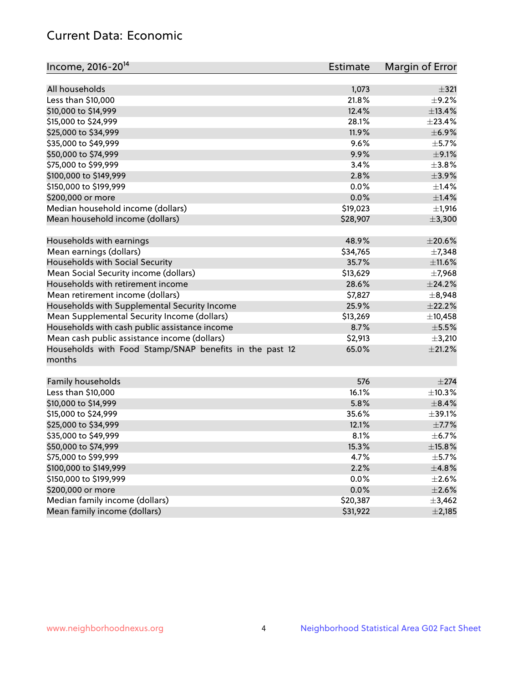# Current Data: Economic

| Income, 2016-20 <sup>14</sup>                           | Estimate | Margin of Error |
|---------------------------------------------------------|----------|-----------------|
|                                                         |          |                 |
| All households                                          | 1,073    | $\pm$ 321       |
| Less than \$10,000                                      | 21.8%    | $\pm$ 9.2%      |
| \$10,000 to \$14,999                                    | 12.4%    | ±13.4%          |
| \$15,000 to \$24,999                                    | 28.1%    | ±23.4%          |
| \$25,000 to \$34,999                                    | 11.9%    | ±6.9%           |
| \$35,000 to \$49,999                                    | 9.6%     | $\pm$ 5.7%      |
| \$50,000 to \$74,999                                    | 9.9%     | $\pm$ 9.1%      |
| \$75,000 to \$99,999                                    | 3.4%     | $\pm$ 3.8%      |
| \$100,000 to \$149,999                                  | 2.8%     | $\pm$ 3.9%      |
| \$150,000 to \$199,999                                  | 0.0%     | $\pm$ 1.4%      |
| \$200,000 or more                                       | 0.0%     | $\pm$ 1.4%      |
| Median household income (dollars)                       | \$19,023 | ±1,916          |
| Mean household income (dollars)                         | \$28,907 | ±3,300          |
| Households with earnings                                | 48.9%    | $\pm 20.6\%$    |
| Mean earnings (dollars)                                 | \$34,765 | ±7,348          |
| Households with Social Security                         | 35.7%    | $\pm$ 11.6%     |
| Mean Social Security income (dollars)                   | \$13,629 | $\pm$ 7,968     |
| Households with retirement income                       | 28.6%    | ±24.2%          |
| Mean retirement income (dollars)                        | \$7,827  | $\pm$ 8,948     |
| Households with Supplemental Security Income            | 25.9%    | ±22.2%          |
| Mean Supplemental Security Income (dollars)             | \$13,269 | ±10,458         |
| Households with cash public assistance income           | 8.7%     | $\pm$ 5.5%      |
| Mean cash public assistance income (dollars)            | \$2,913  | $\pm$ 3,210     |
| Households with Food Stamp/SNAP benefits in the past 12 | 65.0%    | $\pm 21.2\%$    |
| months                                                  |          |                 |
|                                                         |          |                 |
| Family households                                       | 576      | $\pm 274$       |
| Less than \$10,000                                      | 16.1%    | ±10.3%          |
| \$10,000 to \$14,999                                    | 5.8%     | $\pm$ 8.4%      |
| \$15,000 to \$24,999                                    | 35.6%    | $\pm$ 39.1%     |
| \$25,000 to \$34,999                                    | 12.1%    | $\pm$ 7.7%      |
| \$35,000 to \$49,999                                    | 8.1%     | $\pm$ 6.7%      |
| \$50,000 to \$74,999                                    | 15.3%    | $\pm$ 15.8%     |
| \$75,000 to \$99,999                                    | 4.7%     | $\pm$ 5.7%      |
| \$100,000 to \$149,999                                  | 2.2%     | ±4.8%           |
| \$150,000 to \$199,999                                  | 0.0%     | $\pm 2.6\%$     |
| \$200,000 or more                                       | 0.0%     | $\pm 2.6\%$     |
| Median family income (dollars)                          | \$20,387 | ±3,462          |
| Mean family income (dollars)                            | \$31,922 | $\pm 2,185$     |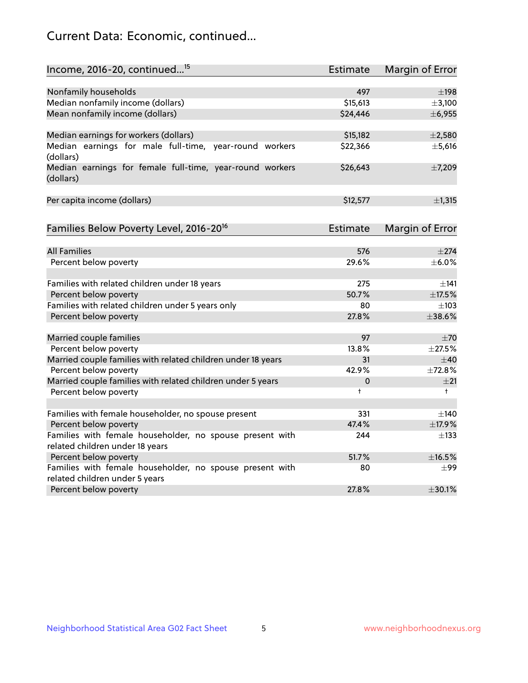# Current Data: Economic, continued...

| Income, 2016-20, continued <sup>15</sup>                                     | <b>Estimate</b> | <b>Margin of Error</b> |
|------------------------------------------------------------------------------|-----------------|------------------------|
|                                                                              |                 |                        |
| Nonfamily households                                                         | 497             | $\pm$ 198              |
| Median nonfamily income (dollars)                                            | \$15,613        | ±3,100                 |
| Mean nonfamily income (dollars)                                              | \$24,446        | ± 6,955                |
| Median earnings for workers (dollars)                                        | \$15,182        | $\pm 2,580$            |
| Median earnings for male full-time, year-round workers                       | \$22,366        | $\pm$ 5,616            |
| (dollars)                                                                    |                 |                        |
| Median earnings for female full-time, year-round workers<br>(dollars)        | \$26,643        | ±7,209                 |
| Per capita income (dollars)                                                  | \$12,577        | $\pm$ 1,315            |
|                                                                              |                 |                        |
| Families Below Poverty Level, 2016-20 <sup>16</sup>                          | <b>Estimate</b> | <b>Margin of Error</b> |
| <b>All Families</b>                                                          | 576             | $\pm 274$              |
| Percent below poverty                                                        | 29.6%           | $\pm$ 6.0%             |
|                                                                              |                 |                        |
| Families with related children under 18 years                                | 275             | ±141                   |
| Percent below poverty                                                        | 50.7%           | $\pm$ 17.5%            |
| Families with related children under 5 years only                            | 80              | $\pm 103$              |
| Percent below poverty                                                        | 27.8%           | ±38.6%                 |
| Married couple families                                                      | 97              | ±70                    |
| Percent below poverty                                                        | 13.8%           | ±27.5%                 |
| Married couple families with related children under 18 years                 | 31              | $\pm 40$               |
| Percent below poverty                                                        | 42.9%           | ±72.8%                 |
| Married couple families with related children under 5 years                  | 0               | ±21                    |
| Percent below poverty                                                        | $\ddagger$      | $\ddagger$             |
|                                                                              | 331             | $\pm$ 140              |
| Families with female householder, no spouse present<br>Percent below poverty | 47.4%           | ±17.9%                 |
| Families with female householder, no spouse present with                     | 244             | $\pm$ 133              |
| related children under 18 years                                              |                 |                        |
| Percent below poverty                                                        | 51.7%           | ±16.5%                 |
| Families with female householder, no spouse present with                     | 80              | $\pm 99$               |
| related children under 5 years                                               |                 |                        |
| Percent below poverty                                                        | 27.8%           | ±30.1%                 |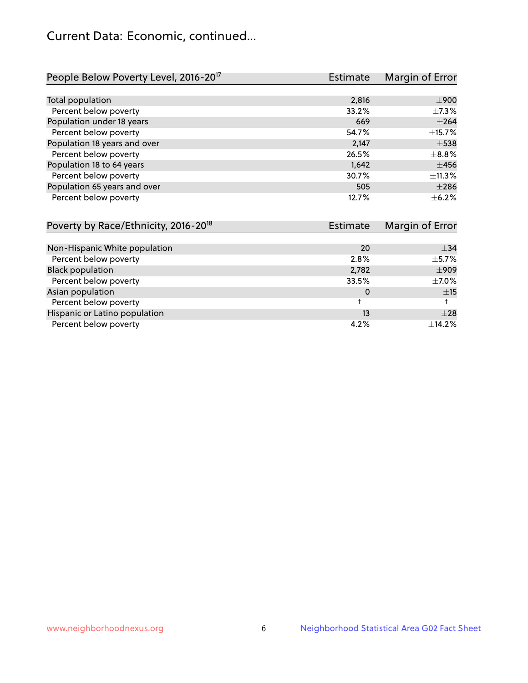# Current Data: Economic, continued...

| People Below Poverty Level, 2016-20 <sup>17</sup> | <b>Estimate</b> | Margin of Error |
|---------------------------------------------------|-----------------|-----------------|
|                                                   |                 |                 |
| Total population                                  | 2,816           | $\pm 900$       |
| Percent below poverty                             | 33.2%           | $\pm$ 7.3%      |
| Population under 18 years                         | 669             | $\pm 264$       |
| Percent below poverty                             | 54.7%           | ±15.7%          |
| Population 18 years and over                      | 2,147           | $\pm$ 538       |
| Percent below poverty                             | 26.5%           | $\pm$ 8.8%      |
| Population 18 to 64 years                         | 1,642           | $\pm 456$       |
| Percent below poverty                             | 30.7%           | ±11.3%          |
| Population 65 years and over                      | 505             | $\pm 286$       |
| Percent below poverty                             | 12.7%           | $\pm$ 6.2%      |

| Poverty by Race/Ethnicity, 2016-20 <sup>18</sup> | <b>Estimate</b> |            |
|--------------------------------------------------|-----------------|------------|
|                                                  |                 |            |
| Non-Hispanic White population                    | 20              | $\pm$ 34   |
| Percent below poverty                            | 2.8%            | $\pm$ 5.7% |
| <b>Black population</b>                          | 2,782           | $\pm 909$  |
| Percent below poverty                            | 33.5%           | $\pm$ 7.0% |
| Asian population                                 | 0               | ±15        |
| Percent below poverty                            |                 |            |
| Hispanic or Latino population                    | 13              | $\pm 28$   |
| Percent below poverty                            | 4.2%            | ±14.2%     |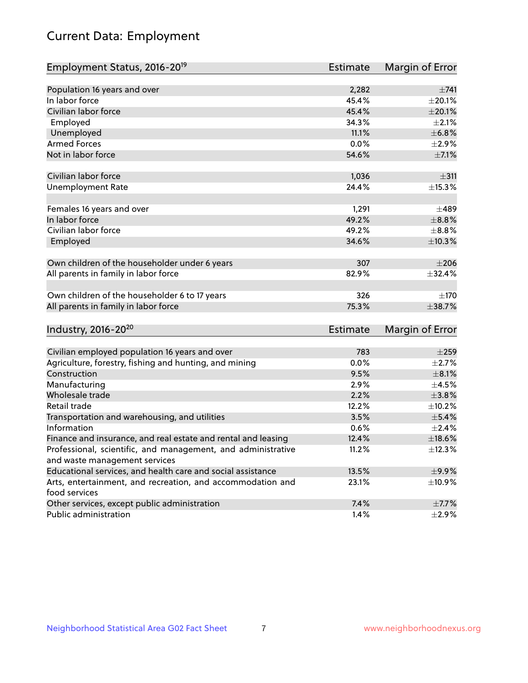# Current Data: Employment

| Employment Status, 2016-20 <sup>19</sup>                                    | Estimate        | Margin of Error |
|-----------------------------------------------------------------------------|-----------------|-----------------|
|                                                                             |                 |                 |
| Population 16 years and over                                                | 2,282           | $\pm 741$       |
| In labor force                                                              | 45.4%           | $\pm 20.1\%$    |
| Civilian labor force                                                        | 45.4%           | $\pm 20.1\%$    |
| Employed                                                                    | 34.3%           | $\pm 2.1\%$     |
| Unemployed                                                                  | 11.1%           | ±6.8%           |
| <b>Armed Forces</b>                                                         | 0.0%            | $\pm 2.9\%$     |
| Not in labor force                                                          | 54.6%           | $\pm$ 7.1%      |
| Civilian labor force                                                        | 1,036           | $\pm$ 311       |
| <b>Unemployment Rate</b>                                                    | 24.4%           | ±15.3%          |
| Females 16 years and over                                                   | 1,291           | $\pm 489$       |
| In labor force                                                              | 49.2%           | $\pm$ 8.8%      |
| Civilian labor force                                                        | 49.2%           | $\pm$ 8.8%      |
| Employed                                                                    | 34.6%           | $\pm$ 10.3%     |
| Own children of the householder under 6 years                               | 307             | $\pm 206$       |
| All parents in family in labor force                                        | 82.9%           | ±32.4%          |
| Own children of the householder 6 to 17 years                               | 326             | $\pm$ 170       |
| All parents in family in labor force                                        | 75.3%           | ±38.7%          |
| Industry, 2016-20 <sup>20</sup>                                             | <b>Estimate</b> | Margin of Error |
|                                                                             |                 |                 |
| Civilian employed population 16 years and over                              | 783             | $\pm 259$       |
| Agriculture, forestry, fishing and hunting, and mining                      | 0.0%            | $\pm 2.7\%$     |
| Construction                                                                | 9.5%            | $\pm 8.1\%$     |
| Manufacturing                                                               | 2.9%            | $\pm 4.5\%$     |
| Wholesale trade                                                             | 2.2%            | $\pm 3.8\%$     |
| Retail trade                                                                | 12.2%           | ±10.2%          |
| Transportation and warehousing, and utilities                               | 3.5%            | $\pm$ 5.4%      |
| Information                                                                 | 0.6%            | $\pm 2.4\%$     |
| Finance and insurance, and real estate and rental and leasing               | 12.4%           | ±18.6%          |
| Professional, scientific, and management, and administrative                | 11.2%           | $\pm$ 12.3%     |
| and waste management services                                               |                 |                 |
| Educational services, and health care and social assistance                 | 13.5%           | $\pm$ 9.9%      |
| Arts, entertainment, and recreation, and accommodation and<br>food services | 23.1%           | ±10.9%          |
| Other services, except public administration                                | 7.4%            | $\pm$ 7.7%      |
| Public administration                                                       | 1.4%            | $\pm 2.9\%$     |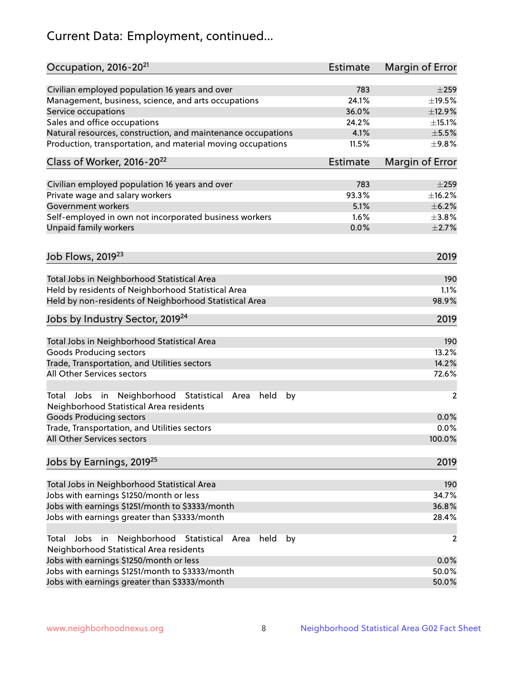# Current Data: Employment, continued...

| Occupation, 2016-20 <sup>21</sup>                                                                                | Estimate        | Margin of Error |
|------------------------------------------------------------------------------------------------------------------|-----------------|-----------------|
| Civilian employed population 16 years and over                                                                   | 783             | $\pm 259$       |
| Management, business, science, and arts occupations                                                              | 24.1%           | ±19.5%          |
| Service occupations                                                                                              | 36.0%           | ±12.9%          |
| Sales and office occupations                                                                                     | 24.2%           | $\pm$ 15.1%     |
| Natural resources, construction, and maintenance occupations                                                     | 4.1%            | $\pm$ 5.5%      |
| Production, transportation, and material moving occupations                                                      | 11.5%           | ±9.8%           |
| Class of Worker, 2016-20 <sup>22</sup>                                                                           | <b>Estimate</b> | Margin of Error |
| Civilian employed population 16 years and over                                                                   | 783             | $\pm 259$       |
| Private wage and salary workers                                                                                  | 93.3%           | ±16.2%          |
| Government workers                                                                                               | 5.1%            | $\pm$ 6.2%      |
| Self-employed in own not incorporated business workers                                                           | 1.6%            | $\pm$ 3.8%      |
| Unpaid family workers                                                                                            | 0.0%            | $\pm 2.7\%$     |
| Job Flows, 2019 <sup>23</sup>                                                                                    |                 | 2019            |
|                                                                                                                  |                 |                 |
| Total Jobs in Neighborhood Statistical Area                                                                      |                 | 190             |
| Held by residents of Neighborhood Statistical Area                                                               |                 | 1.1%            |
| Held by non-residents of Neighborhood Statistical Area                                                           |                 | 98.9%           |
| Jobs by Industry Sector, 2019 <sup>24</sup>                                                                      |                 | 2019            |
| Total Jobs in Neighborhood Statistical Area                                                                      |                 | 190             |
| <b>Goods Producing sectors</b>                                                                                   |                 | 13.2%           |
| Trade, Transportation, and Utilities sectors                                                                     |                 | 14.2%           |
| All Other Services sectors                                                                                       |                 | 72.6%           |
| Total Jobs in Neighborhood Statistical<br>held<br>by<br>Area<br>Neighborhood Statistical Area residents          |                 | $\overline{2}$  |
| <b>Goods Producing sectors</b>                                                                                   |                 | 0.0%            |
| Trade, Transportation, and Utilities sectors                                                                     |                 | 0.0%            |
| All Other Services sectors                                                                                       |                 | 100.0%          |
| Jobs by Earnings, 2019 <sup>25</sup>                                                                             |                 | 2019            |
| Total Jobs in Neighborhood Statistical Area                                                                      |                 | 190             |
| Jobs with earnings \$1250/month or less                                                                          |                 | 34.7%           |
| Jobs with earnings \$1251/month to \$3333/month                                                                  |                 | 36.8%           |
| Jobs with earnings greater than \$3333/month                                                                     |                 | 28.4%           |
| Neighborhood Statistical<br>Jobs<br>in<br>held<br>by<br>Total<br>Area<br>Neighborhood Statistical Area residents |                 | 2               |
| Jobs with earnings \$1250/month or less                                                                          |                 | 0.0%            |
| Jobs with earnings \$1251/month to \$3333/month                                                                  |                 | 50.0%           |
| Jobs with earnings greater than \$3333/month                                                                     |                 | 50.0%           |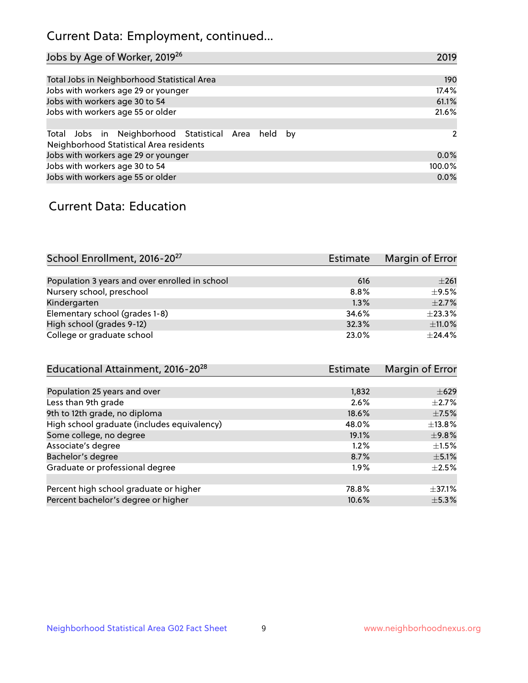# Current Data: Employment, continued...

| Jobs by Age of Worker, 2019 <sup>26</sup>                                                      | 2019   |
|------------------------------------------------------------------------------------------------|--------|
|                                                                                                |        |
| Total Jobs in Neighborhood Statistical Area                                                    | 190    |
| Jobs with workers age 29 or younger                                                            | 17.4%  |
| Jobs with workers age 30 to 54                                                                 | 61.1%  |
| Jobs with workers age 55 or older                                                              | 21.6%  |
|                                                                                                |        |
| Total Jobs in Neighborhood Statistical Area held by<br>Neighborhood Statistical Area residents | 2      |
| Jobs with workers age 29 or younger                                                            | 0.0%   |
| Jobs with workers age 30 to 54                                                                 | 100.0% |
| Jobs with workers age 55 or older                                                              | 0.0%   |

### Current Data: Education

| School Enrollment, 2016-20 <sup>27</sup>       | <b>Estimate</b> | Margin of Error |
|------------------------------------------------|-----------------|-----------------|
|                                                |                 |                 |
| Population 3 years and over enrolled in school | 616             | $\pm 261$       |
| Nursery school, preschool                      | $8.8\%$         | $\pm$ 9.5%      |
| Kindergarten                                   | 1.3%            | $\pm 2.7\%$     |
| Elementary school (grades 1-8)                 | 34.6%           | ±23.3%          |
| High school (grades 9-12)                      | 32.3%           | $\pm$ 11.0%     |
| College or graduate school                     | 23.0%           | $+24.4%$        |
| Educational Attainment, 2016-20 <sup>28</sup>  | <b>Estimate</b> | Margin of Error |

| 1,832   | $\pm 629$   |
|---------|-------------|
| 2.6%    | $\pm 2.7\%$ |
| 18.6%   | $\pm$ 7.5%  |
| 48.0%   | $\pm$ 13.8% |
| 19.1%   | $\pm$ 9.8%  |
| 1.2%    | $+1.5%$     |
| 8.7%    | $\pm$ 5.1%  |
| $1.9\%$ | $\pm 2.5\%$ |
|         |             |
| 78.8%   | $\pm$ 37.1% |
| 10.6%   | $\pm$ 5.3%  |
|         |             |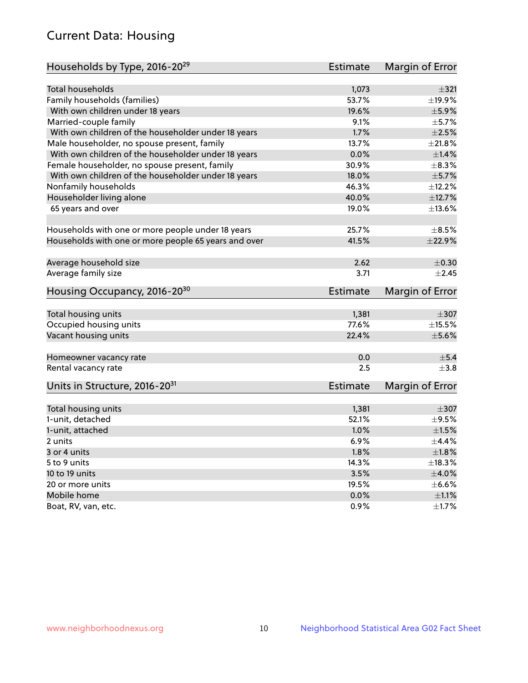# Current Data: Housing

| Households by Type, 2016-20 <sup>29</sup>            | <b>Estimate</b> | Margin of Error |
|------------------------------------------------------|-----------------|-----------------|
|                                                      |                 |                 |
| Total households                                     | 1,073           | ±321            |
| Family households (families)                         | 53.7%           | ±19.9%          |
| With own children under 18 years                     | 19.6%           | $\pm$ 5.9%      |
| Married-couple family                                | 9.1%            | $\pm$ 5.7%      |
| With own children of the householder under 18 years  | 1.7%            | $\pm 2.5\%$     |
| Male householder, no spouse present, family          | 13.7%           | $\pm 21.8\%$    |
| With own children of the householder under 18 years  | 0.0%            | $\pm1.4\%$      |
| Female householder, no spouse present, family        | 30.9%           | $\pm$ 8.3%      |
| With own children of the householder under 18 years  | 18.0%           | $\pm$ 5.7%      |
| Nonfamily households                                 | 46.3%           | ±12.2%          |
| Householder living alone                             | 40.0%           | ±12.7%          |
| 65 years and over                                    | 19.0%           | ±13.6%          |
| Households with one or more people under 18 years    | 25.7%           | $\pm$ 8.5%      |
| Households with one or more people 65 years and over | 41.5%           | ±22.9%          |
|                                                      |                 |                 |
| Average household size                               | 2.62            | $\pm$ 0.30      |
| Average family size                                  | 3.71            | $+2.45$         |
| Housing Occupancy, 2016-20 <sup>30</sup>             | <b>Estimate</b> | Margin of Error |
| Total housing units                                  | 1,381           | $\pm$ 307       |
| Occupied housing units                               | 77.6%           | $\pm$ 15.5%     |
| Vacant housing units                                 | 22.4%           | $\pm$ 5.6%      |
|                                                      |                 |                 |
| Homeowner vacancy rate                               | 0.0             | $\pm$ 5.4       |
| Rental vacancy rate                                  | 2.5             | $+3.8$          |
| Units in Structure, 2016-20 <sup>31</sup>            | Estimate        | Margin of Error |
| Total housing units                                  | 1,381           | $\pm 307$       |
| 1-unit, detached                                     | 52.1%           | $\pm$ 9.5%      |
| 1-unit, attached                                     | 1.0%            | $\pm1.5\%$      |
| 2 units                                              | 6.9%            | $\pm$ 4.4%      |
|                                                      | 1.8%            | $\pm 1.8\%$     |
| 3 or 4 units                                         |                 |                 |
| 5 to 9 units                                         | 14.3%           | ±18.3%          |
| 10 to 19 units                                       | 3.5%            | ±4.0%           |
| 20 or more units                                     | 19.5%           | $\pm$ 6.6%      |
| Mobile home                                          | 0.0%            | $\pm 1.1\%$     |
| Boat, RV, van, etc.                                  | 0.9%            | $\pm 1.7\%$     |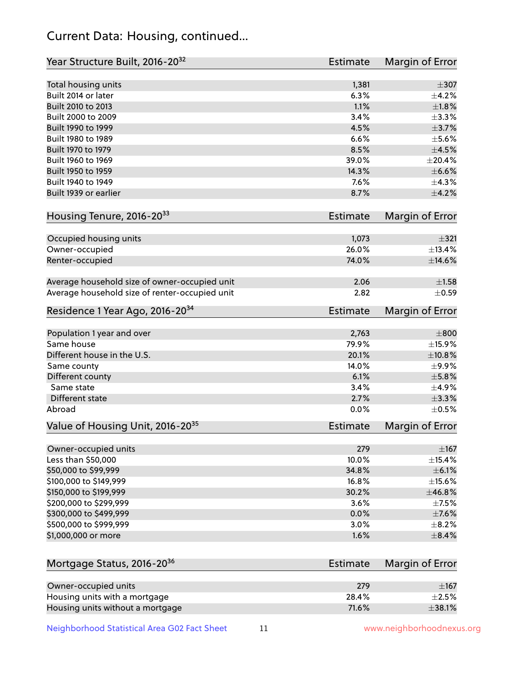# Current Data: Housing, continued...

| Year Structure Built, 2016-20 <sup>32</sup>           | <b>Estimate</b> | <b>Margin of Error</b> |
|-------------------------------------------------------|-----------------|------------------------|
| Total housing units                                   | 1,381           | $\pm$ 307              |
| Built 2014 or later                                   | 6.3%            | ±4.2%                  |
| Built 2010 to 2013                                    | 1.1%            | $\pm1.8\%$             |
| Built 2000 to 2009                                    | 3.4%            | ±3.3%                  |
| Built 1990 to 1999                                    | 4.5%            | $\pm$ 3.7%             |
| Built 1980 to 1989                                    | 6.6%            | $\pm$ 5.6%             |
| Built 1970 to 1979                                    | 8.5%            | $\pm$ 4.5%             |
| Built 1960 to 1969                                    | 39.0%           | ±20.4%                 |
| Built 1950 to 1959                                    | 14.3%           | $\pm$ 6.6%             |
| Built 1940 to 1949                                    | 7.6%            | ±4.3%                  |
| Built 1939 or earlier                                 | 8.7%            | $\pm$ 4.2%             |
| Housing Tenure, 2016-2033                             | Estimate        | <b>Margin of Error</b> |
|                                                       |                 |                        |
| Occupied housing units                                | 1,073           | $\pm$ 321              |
| Owner-occupied                                        | 26.0%           | ±13.4%                 |
| Renter-occupied                                       | 74.0%           | $\pm$ 14.6%            |
| Average household size of owner-occupied unit         | 2.06            | $\pm 1.58$             |
| Average household size of renter-occupied unit        | 2.82            | $\pm$ 0.59             |
| Residence 1 Year Ago, 2016-20 <sup>34</sup>           | <b>Estimate</b> | <b>Margin of Error</b> |
| Population 1 year and over                            | 2,763           | $\pm 800$              |
| Same house                                            | 79.9%           | ±15.9%                 |
| Different house in the U.S.                           | 20.1%           | ±10.8%                 |
| Same county                                           | 14.0%           | $\pm$ 9.9%             |
| Different county                                      | 6.1%            | $\pm$ 5.8%             |
| Same state                                            | 3.4%            | $\pm$ 4.9%             |
| Different state                                       | 2.7%            | $\pm$ 3.3%             |
| Abroad                                                | 0.0%            | $\pm$ 0.5%             |
| Value of Housing Unit, 2016-20 <sup>35</sup>          | <b>Estimate</b> | Margin of Error        |
| Owner-occupied units                                  | 279             | $\pm$ 167              |
| Less than \$50,000                                    | 10.0%           | $\pm$ 15.4%            |
| \$50,000 to \$99,999                                  | 34.8%           | $\pm$ 6.1%             |
| \$100,000 to \$149,999                                | 16.8%           | ±15.6%                 |
| \$150,000 to \$199,999                                | 30.2%           | ±46.8%                 |
| \$200,000 to \$299,999                                | 3.6%            | $\pm$ 7.5%             |
| \$300,000 to \$499,999                                | 0.0%            | $\pm$ 7.6%             |
| \$500,000 to \$999,999                                | 3.0%            | $\pm$ 8.2%             |
| \$1,000,000 or more                                   | 1.6%            | $\pm$ 8.4%             |
| Mortgage Status, 2016-20 <sup>36</sup>                | <b>Estimate</b> | Margin of Error        |
|                                                       | 279             |                        |
| Owner-occupied units<br>Housing units with a mortgage | 28.4%           | ±167<br>$\pm 2.5\%$    |
|                                                       |                 |                        |

Neighborhood Statistical Area G02 Fact Sheet 11 11 www.neighborhoodnexus.org

Housing units without a mortgage  $\pm 38.1\%$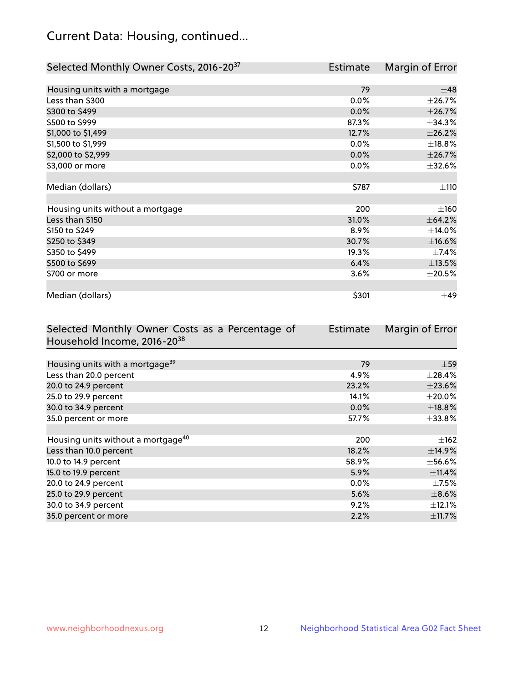# Current Data: Housing, continued...

| Selected Monthly Owner Costs, 2016-20 <sup>37</sup> | Estimate | Margin of Error |
|-----------------------------------------------------|----------|-----------------|
|                                                     |          |                 |
| Housing units with a mortgage                       | 79       | $\pm 48$        |
| Less than \$300                                     | 0.0%     | ±26.7%          |
| \$300 to \$499                                      | 0.0%     | ±26.7%          |
| \$500 to \$999                                      | 87.3%    | ±34.3%          |
| \$1,000 to \$1,499                                  | 12.7%    | ±26.2%          |
| \$1,500 to \$1,999                                  | 0.0%     | ±18.8%          |
| \$2,000 to \$2,999                                  | 0.0%     | ±26.7%          |
| \$3,000 or more                                     | 0.0%     | ±32.6%          |
|                                                     |          |                 |
| Median (dollars)                                    | \$787    | ±110            |
|                                                     |          |                 |
| Housing units without a mortgage                    | 200      | ±160            |
| Less than \$150                                     | 31.0%    | ±64.2%          |
| \$150 to \$249                                      | 8.9%     | ±14.0%          |
| \$250 to \$349                                      | 30.7%    | $\pm$ 16.6%     |
| \$350 to \$499                                      | 19.3%    | $\pm$ 7.4%      |
| \$500 to \$699                                      | 6.4%     | $\pm$ 13.5%     |
| \$700 or more                                       | 3.6%     | $\pm 20.5\%$    |
|                                                     |          |                 |
| Median (dollars)                                    | \$301    | $\pm$ 49        |

| Selected Monthly Owner Costs as a Percentage of | <b>Estimate</b> | Margin of Error |
|-------------------------------------------------|-----------------|-----------------|
| Household Income, 2016-20 <sup>38</sup>         |                 |                 |
|                                                 |                 |                 |
| Housing units with a mortgage <sup>39</sup>     | 79              | $\pm$ 59        |
| Less than 20.0 percent                          | 4.9%            | $\pm$ 28.4%     |
| 20.0 to 24.9 percent                            | 23.2%           | ±23.6%          |
| 25.0 to 29.9 percent                            | 14.1%           | $\pm 20.0\%$    |
| 30.0 to 34.9 percent                            | 0.0%            | ±18.8%          |
| 35.0 percent or more                            | 57.7%           | $\pm$ 33.8%     |
|                                                 |                 |                 |
| Housing units without a mortgage <sup>40</sup>  | 200             | $\pm$ 162       |
| Less than 10.0 percent                          | 18.2%           | ±14.9%          |
| 10.0 to 14.9 percent                            | 58.9%           | $\pm$ 56.6%     |
| 15.0 to 19.9 percent                            | 5.9%            | ±11.4%          |
| 20.0 to 24.9 percent                            | $0.0\%$         | $\pm$ 7.5%      |
| 25.0 to 29.9 percent                            | 5.6%            | $\pm$ 8.6%      |
| 30.0 to 34.9 percent                            | 9.2%            | $\pm$ 12.1%     |
| 35.0 percent or more                            | 2.2%            | $\pm$ 11.7%     |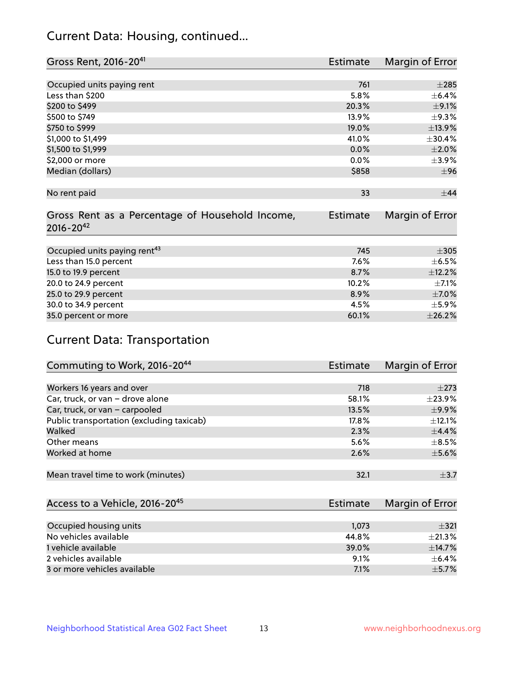# Current Data: Housing, continued...

| Gross Rent, 2016-20 <sup>41</sup>               | <b>Estimate</b> | Margin of Error |
|-------------------------------------------------|-----------------|-----------------|
|                                                 |                 |                 |
| Occupied units paying rent                      | 761             | $\pm 285$       |
| Less than \$200                                 | 5.8%            | $\pm$ 6.4%      |
| \$200 to \$499                                  | 20.3%           | $\pm$ 9.1%      |
| \$500 to \$749                                  | 13.9%           | $\pm$ 9.3%      |
| \$750 to \$999                                  | 19.0%           | ±13.9%          |
| \$1,000 to \$1,499                              | 41.0%           | ±30.4%          |
| \$1,500 to \$1,999                              | $0.0\%$         | $\pm 2.0\%$     |
| \$2,000 or more                                 | 0.0%            | $\pm$ 3.9%      |
| Median (dollars)                                | \$858           | ±96             |
|                                                 |                 |                 |
| No rent paid                                    | 33              | $\pm$ 44        |
|                                                 |                 |                 |
| Gross Rent as a Percentage of Household Income, | Estimate        | Margin of Error |
| $2016 - 20^{42}$                                |                 |                 |
|                                                 |                 |                 |
| Occupied units paying rent <sup>43</sup>        | 745             | $\pm 305$       |
| Less than 15.0 percent                          | 7.6%            | $\pm$ 6.5%      |
| 15.0 to 19.9 percent                            | 8.7%            | ±12.2%          |
| 20.0 to 24.9 percent                            | 10.2%           | $\pm$ 7.1%      |
| 25.0 to 29.9 percent                            | 8.9%            | $\pm$ 7.0%      |
| 30.0 to 34.9 percent                            | 4.5%            | $\pm$ 5.9%      |
| 35.0 percent or more                            | 60.1%           | ±26.2%          |

# Current Data: Transportation

| Commuting to Work, 2016-20 <sup>44</sup>  | Estimate | Margin of Error |
|-------------------------------------------|----------|-----------------|
|                                           |          |                 |
| Workers 16 years and over                 | 718      | $\pm 273$       |
| Car, truck, or van - drove alone          | 58.1%    | $\pm$ 23.9%     |
| Car, truck, or van - carpooled            | 13.5%    | $\pm$ 9.9%      |
| Public transportation (excluding taxicab) | 17.8%    | $\pm$ 12.1%     |
| Walked                                    | 2.3%     | $\pm$ 4.4%      |
| Other means                               | 5.6%     | $\pm$ 8.5%      |
| Worked at home                            | 2.6%     | $\pm$ 5.6%      |
|                                           |          |                 |
| Mean travel time to work (minutes)        | 32.1     | $\pm$ 3.7       |

| Access to a Vehicle, 2016-20 <sup>45</sup> | Estimate | Margin of Error |
|--------------------------------------------|----------|-----------------|
|                                            |          |                 |
| Occupied housing units                     | 1,073    | $\pm$ 321       |
| No vehicles available                      | 44.8%    | $\pm 21.3\%$    |
| 1 vehicle available                        | 39.0%    | ±14.7%          |
| 2 vehicles available                       | 9.1%     | $+6.4%$         |
| 3 or more vehicles available               | 7.1%     | $\pm$ 5.7%      |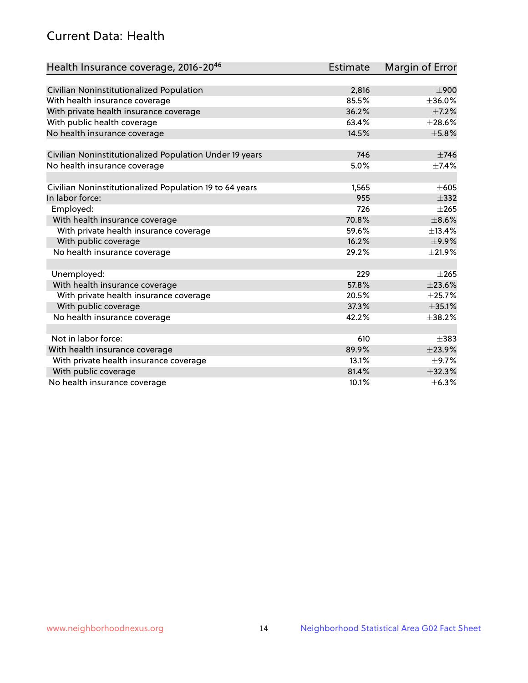# Current Data: Health

| Health Insurance coverage, 2016-2046                    | <b>Estimate</b> | <b>Margin of Error</b> |
|---------------------------------------------------------|-----------------|------------------------|
|                                                         |                 |                        |
| Civilian Noninstitutionalized Population                | 2,816           | $\pm 900$              |
| With health insurance coverage                          | 85.5%           | ±36.0%                 |
| With private health insurance coverage                  | 36.2%           | $\pm$ 7.2%             |
| With public health coverage                             | 63.4%           | $\pm 28.6\%$           |
| No health insurance coverage                            | 14.5%           | $\pm$ 5.8%             |
| Civilian Noninstitutionalized Population Under 19 years | 746             | $\pm 746$              |
| No health insurance coverage                            | 5.0%            | $\pm$ 7.4%             |
|                                                         |                 |                        |
| Civilian Noninstitutionalized Population 19 to 64 years | 1,565           | $\pm 605$              |
| In labor force:                                         | 955             | $\pm$ 332              |
| Employed:                                               | 726             | $\pm 265$              |
| With health insurance coverage                          | 70.8%           | $\pm$ 8.6%             |
| With private health insurance coverage                  | 59.6%           | ±13.4%                 |
| With public coverage                                    | 16.2%           | $\pm$ 9.9%             |
| No health insurance coverage                            | 29.2%           | $\pm 21.9\%$           |
|                                                         |                 |                        |
| Unemployed:                                             | 229             | $+265$                 |
| With health insurance coverage                          | 57.8%           | ±23.6%                 |
| With private health insurance coverage                  | 20.5%           | ±25.7%                 |
| With public coverage                                    | 37.3%           | ±35.1%                 |
| No health insurance coverage                            | 42.2%           | ±38.2%                 |
| Not in labor force:                                     | 610             | $+383$                 |
| With health insurance coverage                          | 89.9%           | ±23.9%                 |
| With private health insurance coverage                  | 13.1%           | $\pm$ 9.7%             |
| With public coverage                                    | 81.4%           | ±32.3%                 |
| No health insurance coverage                            | 10.1%           | ±6.3%                  |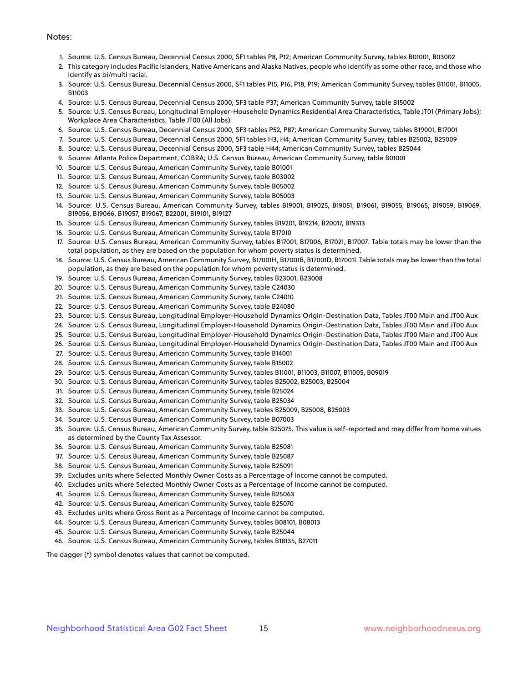#### Notes:

- 1. Source: U.S. Census Bureau, Decennial Census 2000, SF1 tables P8, P12; American Community Survey, tables B01001, B03002
- 2. This category includes Pacific Islanders, Native Americans and Alaska Natives, people who identify as some other race, and those who identify as bi/multi racial.
- 3. Source: U.S. Census Bureau, Decennial Census 2000, SF1 tables P15, P16, P18, P19; American Community Survey, tables B11001, B11005, B11003
- 4. Source: U.S. Census Bureau, Decennial Census 2000, SF3 table P37; American Community Survey, table B15002
- 5. Source: U.S. Census Bureau, Longitudinal Employer-Household Dynamics Residential Area Characteristics, Table JT01 (Primary Jobs); Workplace Area Characteristics, Table JT00 (All Jobs)
- 6. Source: U.S. Census Bureau, Decennial Census 2000, SF3 tables P52, P87; American Community Survey, tables B19001, B17001
- 7. Source: U.S. Census Bureau, Decennial Census 2000, SF1 tables H3, H4; American Community Survey, tables B25002, B25009
- 8. Source: U.S. Census Bureau, Decennial Census 2000, SF3 table H44; American Community Survey, tables B25044
- 9. Source: Atlanta Police Department, COBRA; U.S. Census Bureau, American Community Survey, table B01001
- 10. Source: U.S. Census Bureau, American Community Survey, table B01001
- 11. Source: U.S. Census Bureau, American Community Survey, table B03002
- 12. Source: U.S. Census Bureau, American Community Survey, table B05002
- 13. Source: U.S. Census Bureau, American Community Survey, table B05003
- 14. Source: U.S. Census Bureau, American Community Survey, tables B19001, B19025, B19051, B19061, B19055, B19065, B19059, B19069, B19056, B19066, B19057, B19067, B22001, B19101, B19127
- 15. Source: U.S. Census Bureau, American Community Survey, tables B19201, B19214, B20017, B19313
- 16. Source: U.S. Census Bureau, American Community Survey, table B17010
- 17. Source: U.S. Census Bureau, American Community Survey, tables B17001, B17006, B17021, B17007. Table totals may be lower than the total population, as they are based on the population for whom poverty status is determined.
- 18. Source: U.S. Census Bureau, American Community Survey, B17001H, B17001B, B17001D, B17001I. Table totals may be lower than the total population, as they are based on the population for whom poverty status is determined.
- 19. Source: U.S. Census Bureau, American Community Survey, tables B23001, B23008
- 20. Source: U.S. Census Bureau, American Community Survey, table C24030
- 21. Source: U.S. Census Bureau, American Community Survey, table C24010
- 22. Source: U.S. Census Bureau, American Community Survey, table B24080
- 23. Source: U.S. Census Bureau, Longitudinal Employer-Household Dynamics Origin-Destination Data, Tables JT00 Main and JT00 Aux
- 24. Source: U.S. Census Bureau, Longitudinal Employer-Household Dynamics Origin-Destination Data, Tables JT00 Main and JT00 Aux
- 25. Source: U.S. Census Bureau, Longitudinal Employer-Household Dynamics Origin-Destination Data, Tables JT00 Main and JT00 Aux
- 26. Source: U.S. Census Bureau, Longitudinal Employer-Household Dynamics Origin-Destination Data, Tables JT00 Main and JT00 Aux
- 27. Source: U.S. Census Bureau, American Community Survey, table B14001
- 28. Source: U.S. Census Bureau, American Community Survey, table B15002
- 29. Source: U.S. Census Bureau, American Community Survey, tables B11001, B11003, B11007, B11005, B09019
- 30. Source: U.S. Census Bureau, American Community Survey, tables B25002, B25003, B25004
- 31. Source: U.S. Census Bureau, American Community Survey, table B25024
- 32. Source: U.S. Census Bureau, American Community Survey, table B25034
- 33. Source: U.S. Census Bureau, American Community Survey, tables B25009, B25008, B25003
- 34. Source: U.S. Census Bureau, American Community Survey, table B07003
- 35. Source: U.S. Census Bureau, American Community Survey, table B25075. This value is self-reported and may differ from home values as determined by the County Tax Assessor.
- 36. Source: U.S. Census Bureau, American Community Survey, table B25081
- 37. Source: U.S. Census Bureau, American Community Survey, table B25087
- 38. Source: U.S. Census Bureau, American Community Survey, table B25091
- 39. Excludes units where Selected Monthly Owner Costs as a Percentage of Income cannot be computed.
- 40. Excludes units where Selected Monthly Owner Costs as a Percentage of Income cannot be computed.
- 41. Source: U.S. Census Bureau, American Community Survey, table B25063
- 42. Source: U.S. Census Bureau, American Community Survey, table B25070
- 43. Excludes units where Gross Rent as a Percentage of Income cannot be computed.
- 44. Source: U.S. Census Bureau, American Community Survey, tables B08101, B08013
- 45. Source: U.S. Census Bureau, American Community Survey, table B25044
- 46. Source: U.S. Census Bureau, American Community Survey, tables B18135, B27011

The dagger (†) symbol denotes values that cannot be computed.